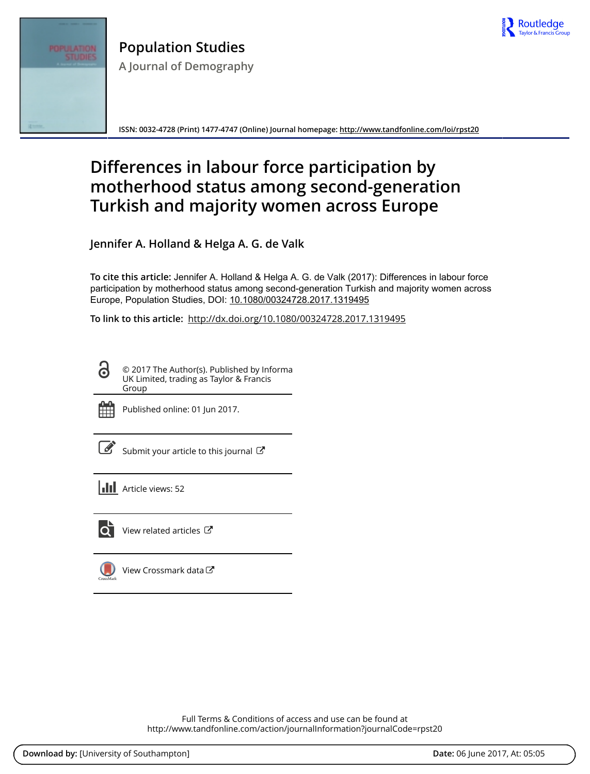



**Population Studies A Journal of Demography**

**ISSN: 0032-4728 (Print) 1477-4747 (Online) Journal homepage:<http://www.tandfonline.com/loi/rpst20>**

# **Differences in labour force participation by motherhood status among second-generation Turkish and majority women across Europe**

**Jennifer A. Holland & Helga A. G. de Valk**

**To cite this article:** Jennifer A. Holland & Helga A. G. de Valk (2017): Differences in labour force participation by motherhood status among second-generation Turkish and majority women across Europe, Population Studies, DOI: [10.1080/00324728.2017.1319495](http://www.tandfonline.com/action/showCitFormats?doi=10.1080/00324728.2017.1319495)

**To link to this article:** <http://dx.doi.org/10.1080/00324728.2017.1319495>

<u>ය</u> © 2017 The Author(s). Published by Informa UK Limited, trading as Taylor & Francis Group



Published online: 01 Jun 2017.

|--|

[Submit your article to this journal](http://www.tandfonline.com/action/authorSubmission?journalCode=rpst20&show=instructions)  $\mathbb{Z}$ 

**III** Article views: 52



View related articles

[View Crossmark data](http://crossmark.crossref.org/dialog/?doi=10.1080/00324728.2017.1319495&domain=pdf&date_stamp=2017-06-01)<sup>C</sup>

Full Terms & Conditions of access and use can be found at <http://www.tandfonline.com/action/journalInformation?journalCode=rpst20>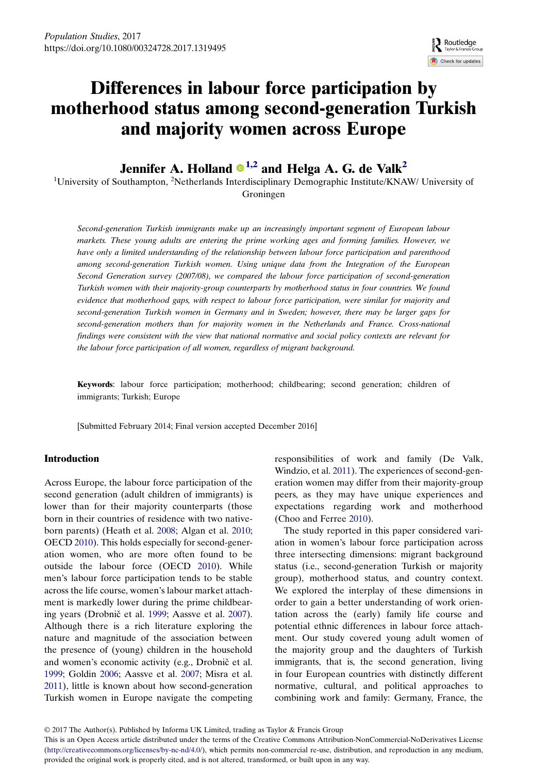

# <span id="page-1-0"></span>Differences in labour force participation by motherhood status among second-generation Turkish and majority women across Europe

**Jennifer A. Holland**  $\mathbb{D}^{1,2}$  **and Helga A. G. de Valk<sup>2</sup>** 

<sup>1</sup>University of Southampton, <sup>2</sup>Netherlands Interdisciplinary Demographic Institute/KNAW/ University of Groningen

Second-generation Turkish immigrants make up an increasingly important segment of European labour markets. These young adults are entering the prime working ages and forming families. However, we have only a limited understanding of the relationship between labour force participation and parenthood among second-generation Turkish women. Using unique data from the Integration of the European Second Generation survey (2007/08), we compared the labour force participation of second-generation Turkish women with their majority-group counterparts by motherhood status in four countries. We found evidence that motherhood gaps, with respect to labour force participation, were similar for majority and second-generation Turkish women in Germany and in Sweden; however, there may be larger gaps for second-generation mothers than for majority women in the Netherlands and France. Cross-national findings were consistent with the view that national normative and social policy contexts are relevant for the labour force participation of all women, regardless of migrant background.

Keywords: labour force participation; motherhood; childbearing; second generation; children of immigrants; Turkish; Europe

[Submitted February 2014; Final version accepted December 2016]

# Introduction

Across Europe, the labour force participation of the second generation (adult children of immigrants) is lower than for their majority counterparts (those born in their countries of residence with two nativeborn parents) (Heath et al. [2008](#page-15-0); Algan et al. [2010](#page-13-0); OECD [2010](#page-16-0)). This holds especially for second-generation women, who are more often found to be outside the labour force (OECD [2010](#page-16-0)). While men's labour force participation tends to be stable across the life course, women's labour market attachment is markedly lower during the prime childbear-ing years (Drobnič et al. [1999](#page-14-0); Aassve et al. [2007\)](#page-13-0). Although there is a rich literature exploring the nature and magnitude of the association between the presence of (young) children in the household and women's economic activity (e.g., Drobnič et al. [1999](#page-14-0); Goldin [2006;](#page-15-0) Aassve et al. [2007](#page-13-0); Misra et al. [2011](#page-16-0)), little is known about how second-generation Turkish women in Europe navigate the competing responsibilities of work and family (De Valk, Windzio, et al. [2011](#page-14-0)). The experiences of second-generation women may differ from their majority-group peers, as they may have unique experiences and expectations regarding work and motherhood (Choo and Ferree [2010](#page-14-0)).

The study reported in this paper considered variation in women's labour force participation across three intersecting dimensions: migrant background status (i.e., second-generation Turkish or majority group), motherhood status, and country context. We explored the interplay of these dimensions in order to gain a better understanding of work orientation across the (early) family life course and potential ethnic differences in labour force attachment. Our study covered young adult women of the majority group and the daughters of Turkish immigrants, that is, the second generation, living in four European countries with distinctly different normative, cultural, and political approaches to combining work and family: Germany, France, the

© 2017 The Author(s). Published by Informa UK Limited, trading as Taylor & Francis Group

This is an Open Access article distributed under the terms of the Creative Commons Attribution-NonCommercial-NoDerivatives License [\(http://creativecommons.org/licenses/by-nc-nd/4.0/\)](http://creativecommons.org/licenses/by-nc-nd/4.0/), which permits non-commercial re-use, distribution, and reproduction in any medium, provided the original work is properly cited, and is not altered, transformed, or built upon in any way.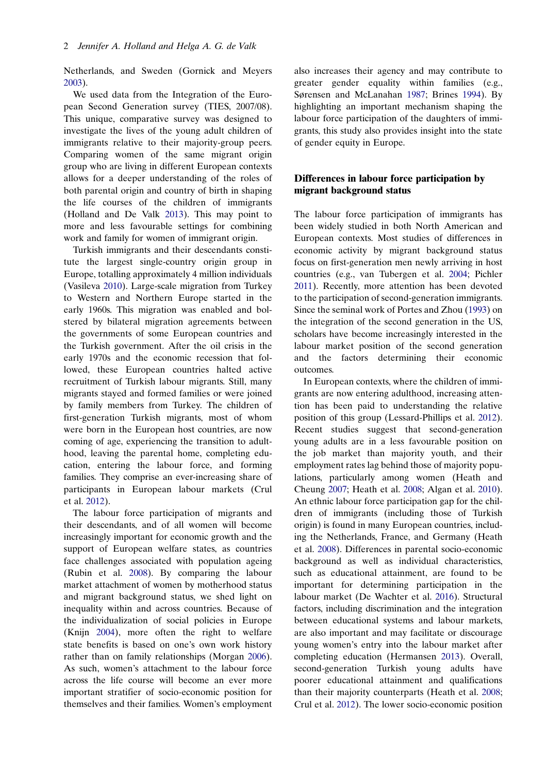<span id="page-2-0"></span>Netherlands, and Sweden (Gornick and Meyers [2003](#page-15-0)).

We used data from the Integration of the European Second Generation survey (TIES, 2007/08). This unique, comparative survey was designed to investigate the lives of the young adult children of immigrants relative to their majority-group peers. Comparing women of the same migrant origin group who are living in different European contexts allows for a deeper understanding of the roles of both parental origin and country of birth in shaping the life courses of the children of immigrants (Holland and De Valk [2013\)](#page-15-0). This may point to more and less favourable settings for combining work and family for women of immigrant origin.

Turkish immigrants and their descendants constitute the largest single-country origin group in Europe, totalling approximately 4 million individuals (Vasileva [2010\)](#page-16-0). Large-scale migration from Turkey to Western and Northern Europe started in the early 1960s. This migration was enabled and bolstered by bilateral migration agreements between the governments of some European countries and the Turkish government. After the oil crisis in the early 1970s and the economic recession that followed, these European countries halted active recruitment of Turkish labour migrants. Still, many migrants stayed and formed families or were joined by family members from Turkey. The children of first-generation Turkish migrants, most of whom were born in the European host countries, are now coming of age, experiencing the transition to adulthood, leaving the parental home, completing education, entering the labour force, and forming families. They comprise an ever-increasing share of participants in European labour markets (Crul et al. [2012\)](#page-14-0).

The labour force participation of migrants and their descendants, and of all women will become increasingly important for economic growth and the support of European welfare states, as countries face challenges associated with population ageing (Rubin et al. [2008\)](#page-16-0). By comparing the labour market attachment of women by motherhood status and migrant background status, we shed light on inequality within and across countries. Because of the individualization of social policies in Europe (Knijn [2004\)](#page-15-0), more often the right to welfare state benefits is based on one's own work history rather than on family relationships (Morgan [2006\)](#page-16-0). As such, women's attachment to the labour force across the life course will become an ever more important stratifier of socio-economic position for themselves and their families. Women's employment also increases their agency and may contribute to greater gender equality within families (e.g., Sørensen and McLanahan [1987](#page-16-0); Brines [1994\)](#page-14-0). By highlighting an important mechanism shaping the labour force participation of the daughters of immigrants, this study also provides insight into the state of gender equity in Europe.

## Differences in labour force participation by migrant background status

The labour force participation of immigrants has been widely studied in both North American and European contexts. Most studies of differences in economic activity by migrant background status focus on first-generation men newly arriving in host countries (e.g., van Tubergen et al. [2004;](#page-16-0) Pichler [2011](#page-16-0)). Recently, more attention has been devoted to the participation of second-generation immigrants. Since the seminal work of Portes and Zhou ([1993\)](#page-16-0) on the integration of the second generation in the US, scholars have become increasingly interested in the labour market position of the second generation and the factors determining their economic outcomes.

In European contexts, where the children of immigrants are now entering adulthood, increasing attention has been paid to understanding the relative position of this group (Lessard-Phillips et al. [2012\)](#page-15-0). Recent studies suggest that second-generation young adults are in a less favourable position on the job market than majority youth, and their employment rates lag behind those of majority populations, particularly among women (Heath and Cheung [2007;](#page-15-0) Heath et al. [2008](#page-15-0); Algan et al. [2010\)](#page-13-0). An ethnic labour force participation gap for the children of immigrants (including those of Turkish origin) is found in many European countries, including the Netherlands, France, and Germany (Heath et al. [2008\)](#page-15-0). Differences in parental socio-economic background as well as individual characteristics, such as educational attainment, are found to be important for determining participation in the labour market (De Wachter et al. [2016](#page-14-0)). Structural factors, including discrimination and the integration between educational systems and labour markets, are also important and may facilitate or discourage young women's entry into the labour market after completing education (Hermansen [2013](#page-15-0)). Overall, second-generation Turkish young adults have poorer educational attainment and qualifications than their majority counterparts (Heath et al. [2008;](#page-15-0) Crul et al. [2012\)](#page-14-0). The lower socio-economic position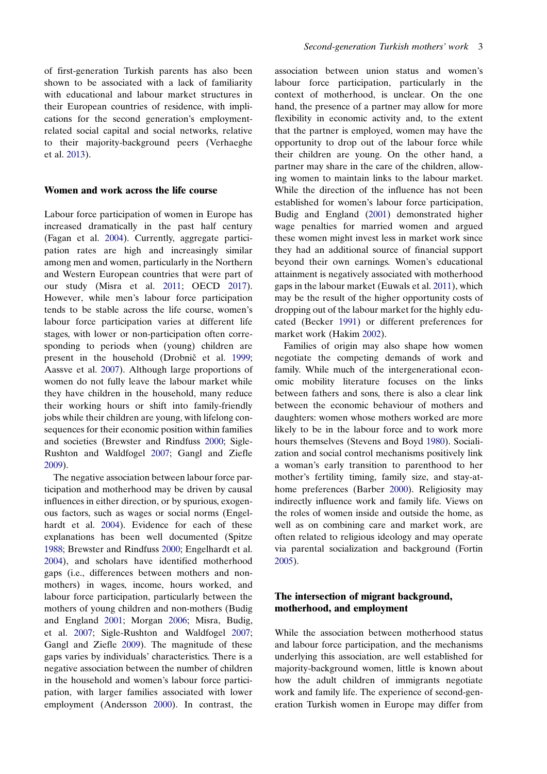<span id="page-3-0"></span>of first-generation Turkish parents has also been shown to be associated with a lack of familiarity with educational and labour market structures in their European countries of residence, with implications for the second generation's employmentrelated social capital and social networks, relative to their majority-background peers (Verhaeghe et al. [2013\)](#page-16-0).

#### Women and work across the life course

Labour force participation of women in Europe has increased dramatically in the past half century (Fagan et al. [2004](#page-14-0)). Currently, aggregate participation rates are high and increasingly similar among men and women, particularly in the Northern and Western European countries that were part of our study (Misra et al. [2011;](#page-16-0) OECD [2017\)](#page-16-0). However, while men's labour force participation tends to be stable across the life course, women's labour force participation varies at different life stages, with lower or non-participation often corresponding to periods when (young) children are present in the household (Drobnič et al. [1999](#page-14-0); Aassve et al. [2007\)](#page-13-0). Although large proportions of women do not fully leave the labour market while they have children in the household, many reduce their working hours or shift into family-friendly jobs while their children are young, with lifelong consequences for their economic position within families and societies (Brewster and Rindfuss [2000](#page-14-0); Sigle-Rushton and Waldfogel [2007;](#page-16-0) Gangl and Ziefle [2009](#page-15-0)).

The negative association between labour force participation and motherhood may be driven by causal influences in either direction, or by spurious, exogenous factors, such as wages or social norms (Engelhardt et al. [2004](#page-14-0)). Evidence for each of these explanations has been well documented (Spitze [1988](#page-16-0); Brewster and Rindfuss [2000](#page-14-0); Engelhardt et al. [2004](#page-14-0)), and scholars have identified motherhood gaps (i.e., differences between mothers and nonmothers) in wages, income, hours worked, and labour force participation, particularly between the mothers of young children and non-mothers (Budig and England [2001;](#page-14-0) Morgan [2006;](#page-16-0) Misra, Budig, et al. [2007;](#page-15-0) Sigle-Rushton and Waldfogel [2007](#page-16-0); Gangl and Ziefle [2009\)](#page-15-0). The magnitude of these gaps varies by individuals' characteristics. There is a negative association between the number of children in the household and women's labour force participation, with larger families associated with lower employment (Andersson [2000](#page-13-0)). In contrast, the

association between union status and women's labour force participation, particularly in the context of motherhood, is unclear. On the one hand, the presence of a partner may allow for more flexibility in economic activity and, to the extent that the partner is employed, women may have the opportunity to drop out of the labour force while their children are young. On the other hand, a partner may share in the care of the children, allowing women to maintain links to the labour market. While the direction of the influence has not been established for women's labour force participation, Budig and England [\(2001](#page-14-0)) demonstrated higher wage penalties for married women and argued these women might invest less in market work since they had an additional source of financial support beyond their own earnings. Women's educational attainment is negatively associated with motherhood gaps in the labour market (Euwals et al. [2011\)](#page-14-0), which may be the result of the higher opportunity costs of dropping out of the labour market for the highly educated (Becker [1991\)](#page-14-0) or different preferences for market work (Hakim [2002\)](#page-15-0).

Families of origin may also shape how women negotiate the competing demands of work and family. While much of the intergenerational economic mobility literature focuses on the links between fathers and sons, there is also a clear link between the economic behaviour of mothers and daughters: women whose mothers worked are more likely to be in the labour force and to work more hours themselves (Stevens and Boyd [1980](#page-16-0)). Socialization and social control mechanisms positively link a woman's early transition to parenthood to her mother's fertility timing, family size, and stay-athome preferences (Barber [2000](#page-13-0)). Religiosity may indirectly influence work and family life. Views on the roles of women inside and outside the home, as well as on combining care and market work, are often related to religious ideology and may operate via parental socialization and background (Fortin [2005](#page-15-0)).

## The intersection of migrant background, motherhood, and employment

While the association between motherhood status and labour force participation, and the mechanisms underlying this association, are well established for majority-background women, little is known about how the adult children of immigrants negotiate work and family life. The experience of second-generation Turkish women in Europe may differ from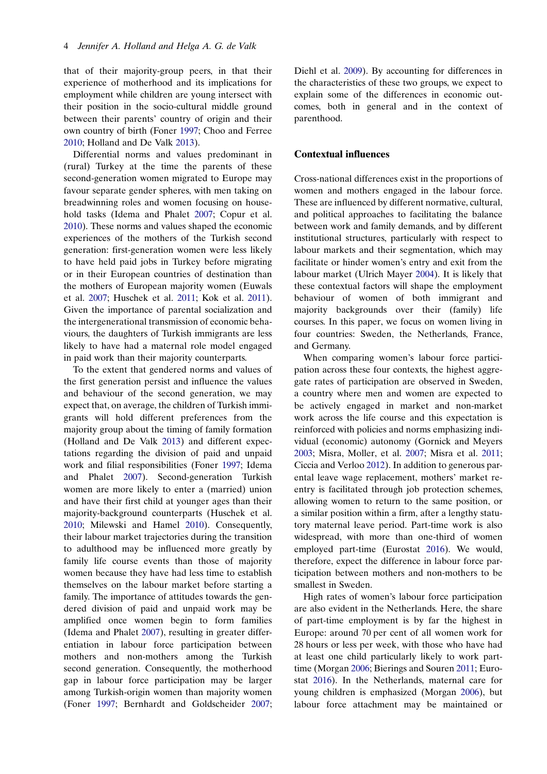<span id="page-4-0"></span>that of their majority-group peers, in that their experience of motherhood and its implications for employment while children are young intersect with their position in the socio-cultural middle ground between their parents' country of origin and their own country of birth (Foner [1997;](#page-15-0) Choo and Ferree [2010](#page-14-0); Holland and De Valk [2013](#page-15-0)).

Differential norms and values predominant in (rural) Turkey at the time the parents of these second-generation women migrated to Europe may favour separate gender spheres, with men taking on breadwinning roles and women focusing on household tasks (Idema and Phalet [2007;](#page-15-0) Copur et al. [2010](#page-14-0)). These norms and values shaped the economic experiences of the mothers of the Turkish second generation: first-generation women were less likely to have held paid jobs in Turkey before migrating or in their European countries of destination than the mothers of European majority women (Euwals et al. [2007;](#page-14-0) Huschek et al. [2011](#page-15-0); Kok et al. [2011\)](#page-15-0). Given the importance of parental socialization and the intergenerational transmission of economic behaviours, the daughters of Turkish immigrants are less likely to have had a maternal role model engaged in paid work than their majority counterparts.

To the extent that gendered norms and values of the first generation persist and influence the values and behaviour of the second generation, we may expect that, on average, the children of Turkish immigrants will hold different preferences from the majority group about the timing of family formation (Holland and De Valk [2013\)](#page-15-0) and different expectations regarding the division of paid and unpaid work and filial responsibilities (Foner [1997;](#page-15-0) Idema and Phalet [2007\)](#page-15-0). Second-generation Turkish women are more likely to enter a (married) union and have their first child at younger ages than their majority-background counterparts (Huschek et al. [2010](#page-15-0); Milewski and Hamel [2010](#page-15-0)). Consequently, their labour market trajectories during the transition to adulthood may be influenced more greatly by family life course events than those of majority women because they have had less time to establish themselves on the labour market before starting a family. The importance of attitudes towards the gendered division of paid and unpaid work may be amplified once women begin to form families (Idema and Phalet [2007](#page-15-0)), resulting in greater differentiation in labour force participation between mothers and non-mothers among the Turkish second generation. Consequently, the motherhood gap in labour force participation may be larger among Turkish-origin women than majority women (Foner [1997;](#page-15-0) Bernhardt and Goldscheider [2007;](#page-14-0) Diehl et al. [2009](#page-14-0)). By accounting for differences in the characteristics of these two groups, we expect to explain some of the differences in economic outcomes, both in general and in the context of parenthood.

### Contextual influences

Cross-national differences exist in the proportions of women and mothers engaged in the labour force. These are influenced by different normative, cultural, and political approaches to facilitating the balance between work and family demands, and by different institutional structures, particularly with respect to labour markets and their segmentation, which may facilitate or hinder women's entry and exit from the labour market (Ulrich Mayer [2004\)](#page-16-0). It is likely that these contextual factors will shape the employment behaviour of women of both immigrant and majority backgrounds over their (family) life courses. In this paper, we focus on women living in four countries: Sweden, the Netherlands, France, and Germany.

When comparing women's labour force participation across these four contexts, the highest aggregate rates of participation are observed in Sweden, a country where men and women are expected to be actively engaged in market and non-market work across the life course and this expectation is reinforced with policies and norms emphasizing individual (economic) autonomy (Gornick and Meyers [2003](#page-15-0); Misra, Moller, et al. [2007;](#page-15-0) Misra et al. [2011;](#page-16-0) Ciccia and Verloo [2012](#page-14-0)). In addition to generous parental leave wage replacement, mothers' market reentry is facilitated through job protection schemes, allowing women to return to the same position, or a similar position within a firm, after a lengthy statutory maternal leave period. Part-time work is also widespread, with more than one-third of women employed part-time (Eurostat [2016](#page-14-0)). We would, therefore, expect the difference in labour force participation between mothers and non-mothers to be smallest in Sweden.

High rates of women's labour force participation are also evident in the Netherlands. Here, the share of part-time employment is by far the highest in Europe: around 70 per cent of all women work for 28 hours or less per week, with those who have had at least one child particularly likely to work parttime (Morgan [2006](#page-16-0); Bierings and Souren [2011;](#page-14-0) Eurostat [2016](#page-14-0)). In the Netherlands, maternal care for young children is emphasized (Morgan [2006\)](#page-16-0), but labour force attachment may be maintained or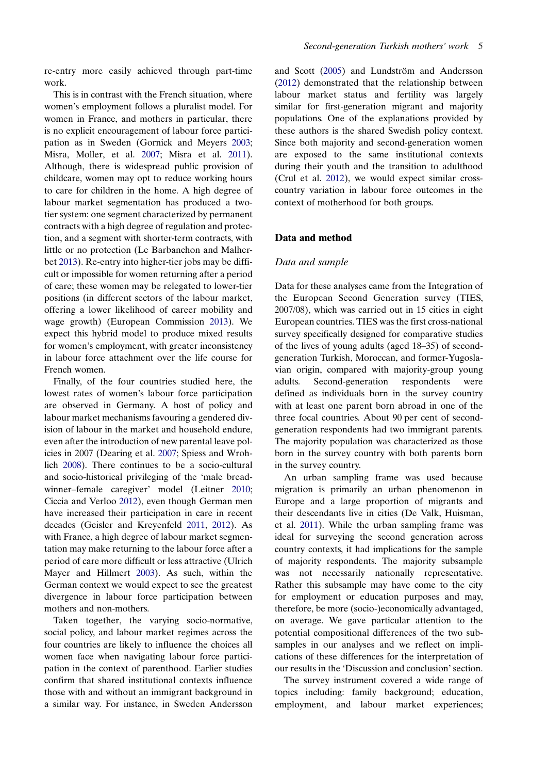<span id="page-5-0"></span>re-entry more easily achieved through part-time work.

This is in contrast with the French situation, where women's employment follows a pluralist model. For women in France, and mothers in particular, there is no explicit encouragement of labour force participation as in Sweden (Gornick and Meyers [2003](#page-15-0); Misra, Moller, et al. [2007](#page-15-0); Misra et al. [2011\)](#page-16-0). Although, there is widespread public provision of childcare, women may opt to reduce working hours to care for children in the home. A high degree of labour market segmentation has produced a twotier system: one segment characterized by permanent contracts with a high degree of regulation and protection, and a segment with shorter-term contracts, with little or no protection (Le Barbanchon and Malherbet [2013](#page-15-0)). Re-entry into higher-tier jobs may be difficult or impossible for women returning after a period of care; these women may be relegated to lower-tier positions (in different sectors of the labour market, offering a lower likelihood of career mobility and wage growth) (European Commission [2013](#page-14-0)). We expect this hybrid model to produce mixed results for women's employment, with greater inconsistency in labour force attachment over the life course for French women.

Finally, of the four countries studied here, the lowest rates of women's labour force participation are observed in Germany. A host of policy and labour market mechanisms favouring a gendered division of labour in the market and household endure, even after the introduction of new parental leave policies in 2007 (Dearing et al. [2007](#page-14-0); Spiess and Wrohlich [2008\)](#page-16-0). There continues to be a socio-cultural and socio-historical privileging of the 'male breadwinner–female caregiver' model (Leitner [2010](#page-15-0); Ciccia and Verloo [2012\)](#page-14-0), even though German men have increased their participation in care in recent decades (Geisler and Kreyenfeld [2011](#page-15-0), [2012](#page-15-0)). As with France, a high degree of labour market segmentation may make returning to the labour force after a period of care more difficult or less attractive (Ulrich Mayer and Hillmert [2003](#page-16-0)). As such, within the German context we would expect to see the greatest divergence in labour force participation between mothers and non-mothers.

Taken together, the varying socio-normative, social policy, and labour market regimes across the four countries are likely to influence the choices all women face when navigating labour force participation in the context of parenthood. Earlier studies confirm that shared institutional contexts influence those with and without an immigrant background in a similar way. For instance, in Sweden Andersson

and Scott [\(2005](#page-13-0)) and Lundström and Andersson ([2012\)](#page-15-0) demonstrated that the relationship between labour market status and fertility was largely similar for first-generation migrant and majority populations. One of the explanations provided by these authors is the shared Swedish policy context. Since both majority and second-generation women are exposed to the same institutional contexts during their youth and the transition to adulthood (Crul et al. [2012\)](#page-14-0), we would expect similar crosscountry variation in labour force outcomes in the context of motherhood for both groups.

## Data and method

#### Data and sample

Data for these analyses came from the Integration of the European Second Generation survey (TIES, 2007/08), which was carried out in 15 cities in eight European countries. TIES was the first cross-national survey specifically designed for comparative studies of the lives of young adults (aged 18–35) of secondgeneration Turkish, Moroccan, and former-Yugoslavian origin, compared with majority-group young adults. Second-generation respondents were defined as individuals born in the survey country with at least one parent born abroad in one of the three focal countries. About 90 per cent of secondgeneration respondents had two immigrant parents. The majority population was characterized as those born in the survey country with both parents born in the survey country.

An urban sampling frame was used because migration is primarily an urban phenomenon in Europe and a large proportion of migrants and their descendants live in cities (De Valk, Huisman, et al. [2011\)](#page-14-0). While the urban sampling frame was ideal for surveying the second generation across country contexts, it had implications for the sample of majority respondents. The majority subsample was not necessarily nationally representative. Rather this subsample may have come to the city for employment or education purposes and may, therefore, be more (socio-)economically advantaged, on average. We gave particular attention to the potential compositional differences of the two subsamples in our analyses and we reflect on implications of these differences for the interpretation of our results in the 'Discussion and conclusion' section.

The survey instrument covered a wide range of topics including: family background; education, employment, and labour market experiences;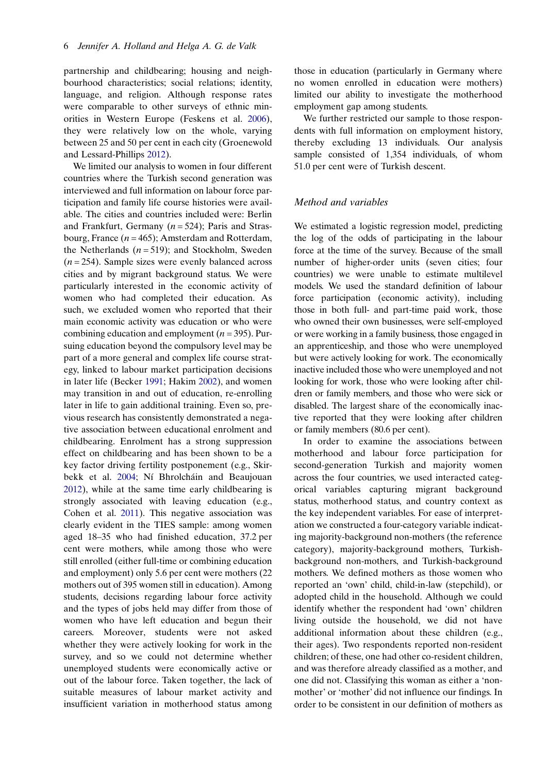<span id="page-6-0"></span>partnership and childbearing; housing and neighbourhood characteristics; social relations; identity, language, and religion. Although response rates were comparable to other surveys of ethnic minorities in Western Europe (Feskens et al. [2006\)](#page-15-0), they were relatively low on the whole, varying between 25 and 50 per cent in each city (Groenewold and Lessard-Phillips [2012](#page-15-0)).

We limited our analysis to women in four different countries where the Turkish second generation was interviewed and full information on labour force participation and family life course histories were available. The cities and countries included were: Berlin and Frankfurt, Germany ( $n = 524$ ); Paris and Strasbourg, France ( $n = 465$ ); Amsterdam and Rotterdam, the Netherlands  $(n = 519)$ ; and Stockholm, Sweden  $(n = 254)$ . Sample sizes were evenly balanced across cities and by migrant background status. We were particularly interested in the economic activity of women who had completed their education. As such, we excluded women who reported that their main economic activity was education or who were combining education and employment ( $n = 395$ ). Pursuing education beyond the compulsory level may be part of a more general and complex life course strategy, linked to labour market participation decisions in later life (Becker [1991](#page-14-0); Hakim [2002](#page-15-0)), and women may transition in and out of education, re-enrolling later in life to gain additional training. Even so, previous research has consistently demonstrated a negative association between educational enrolment and childbearing. Enrolment has a strong suppression effect on childbearing and has been shown to be a key factor driving fertility postponement (e.g., Skirbekk et al. [2004;](#page-16-0) Ní Bhrolcháin and Beaujouan [2012](#page-16-0)), while at the same time early childbearing is strongly associated with leaving education (e.g., Cohen et al. [2011\)](#page-14-0). This negative association was clearly evident in the TIES sample: among women aged 18–35 who had finished education, 37.2 per cent were mothers, while among those who were still enrolled (either full-time or combining education and employment) only 5.6 per cent were mothers (22 mothers out of 395 women still in education). Among students, decisions regarding labour force activity and the types of jobs held may differ from those of women who have left education and begun their careers. Moreover, students were not asked whether they were actively looking for work in the survey, and so we could not determine whether unemployed students were economically active or out of the labour force. Taken together, the lack of suitable measures of labour market activity and insufficient variation in motherhood status among those in education (particularly in Germany where no women enrolled in education were mothers) limited our ability to investigate the motherhood employment gap among students.

We further restricted our sample to those respondents with full information on employment history, thereby excluding 13 individuals. Our analysis sample consisted of 1,354 individuals, of whom 51.0 per cent were of Turkish descent.

## Method and variables

We estimated a logistic regression model, predicting the log of the odds of participating in the labour force at the time of the survey. Because of the small number of higher-order units (seven cities; four countries) we were unable to estimate multilevel models. We used the standard definition of labour force participation (economic activity), including those in both full- and part-time paid work, those who owned their own businesses, were self-employed or were working in a family business, those engaged in an apprenticeship, and those who were unemployed but were actively looking for work. The economically inactive included those who were unemployed and not looking for work, those who were looking after children or family members, and those who were sick or disabled. The largest share of the economically inactive reported that they were looking after children or family members (80.6 per cent).

In order to examine the associations between motherhood and labour force participation for second-generation Turkish and majority women across the four countries, we used interacted categorical variables capturing migrant background status, motherhood status, and country context as the key independent variables. For ease of interpretation we constructed a four-category variable indicating majority-background non-mothers (the reference category), majority-background mothers, Turkishbackground non-mothers, and Turkish-background mothers. We defined mothers as those women who reported an 'own' child, child-in-law (stepchild), or adopted child in the household. Although we could identify whether the respondent had 'own' children living outside the household, we did not have additional information about these children (e.g., their ages). Two respondents reported non-resident children; of these, one had other co-resident children, and was therefore already classified as a mother, and one did not. Classifying this woman as either a 'nonmother' or 'mother' did not influence our findings. In order to be consistent in our definition of mothers as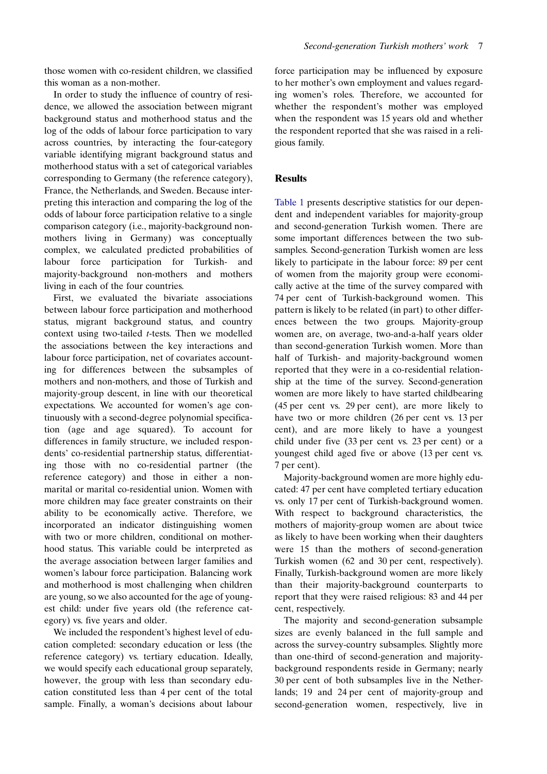those women with co-resident children, we classified this woman as a non-mother.

In order to study the influence of country of residence, we allowed the association between migrant background status and motherhood status and the log of the odds of labour force participation to vary across countries, by interacting the four-category variable identifying migrant background status and motherhood status with a set of categorical variables corresponding to Germany (the reference category), France, the Netherlands, and Sweden. Because interpreting this interaction and comparing the log of the odds of labour force participation relative to a single comparison category (i.e., majority-background nonmothers living in Germany) was conceptually complex, we calculated predicted probabilities of labour force participation for Turkish- and majority-background non-mothers and mothers living in each of the four countries.

First, we evaluated the bivariate associations between labour force participation and motherhood status, migrant background status, and country context using two-tailed  $t$ -tests. Then we modelled the associations between the key interactions and labour force participation, net of covariates accounting for differences between the subsamples of mothers and non-mothers, and those of Turkish and majority-group descent, in line with our theoretical expectations. We accounted for women's age continuously with a second-degree polynomial specification (age and age squared). To account for differences in family structure, we included respondents' co-residential partnership status, differentiating those with no co-residential partner (the reference category) and those in either a nonmarital or marital co-residential union. Women with more children may face greater constraints on their ability to be economically active. Therefore, we incorporated an indicator distinguishing women with two or more children, conditional on motherhood status. This variable could be interpreted as the average association between larger families and women's labour force participation. Balancing work and motherhood is most challenging when children are young, so we also accounted for the age of youngest child: under five years old (the reference category) vs. five years and older.

We included the respondent's highest level of education completed: secondary education or less (the reference category) vs. tertiary education. Ideally, we would specify each educational group separately, however, the group with less than secondary education constituted less than 4 per cent of the total sample. Finally, a woman's decisions about labour

force participation may be influenced by exposure to her mother's own employment and values regarding women's roles. Therefore, we accounted for whether the respondent's mother was employed when the respondent was 15 years old and whether the respondent reported that she was raised in a religious family.

## **Results**

[Table 1](#page-8-0) presents descriptive statistics for our dependent and independent variables for majority-group and second-generation Turkish women. There are some important differences between the two subsamples. Second-generation Turkish women are less likely to participate in the labour force: 89 per cent of women from the majority group were economically active at the time of the survey compared with 74 per cent of Turkish-background women. This pattern is likely to be related (in part) to other differences between the two groups. Majority-group women are, on average, two-and-a-half years older than second-generation Turkish women. More than half of Turkish- and majority-background women reported that they were in a co-residential relationship at the time of the survey. Second-generation women are more likely to have started childbearing (45 per cent vs. 29 per cent), are more likely to have two or more children (26 per cent vs. 13 per cent), and are more likely to have a youngest child under five (33 per cent vs. 23 per cent) or a youngest child aged five or above (13 per cent vs. 7 per cent).

Majority-background women are more highly educated: 47 per cent have completed tertiary education vs. only 17 per cent of Turkish-background women. With respect to background characteristics, the mothers of majority-group women are about twice as likely to have been working when their daughters were 15 than the mothers of second-generation Turkish women (62 and 30 per cent, respectively). Finally, Turkish-background women are more likely than their majority-background counterparts to report that they were raised religious: 83 and 44 per cent, respectively.

The majority and second-generation subsample sizes are evenly balanced in the full sample and across the survey-country subsamples. Slightly more than one-third of second-generation and majoritybackground respondents reside in Germany; nearly 30 per cent of both subsamples live in the Netherlands; 19 and 24 per cent of majority-group and second-generation women, respectively, live in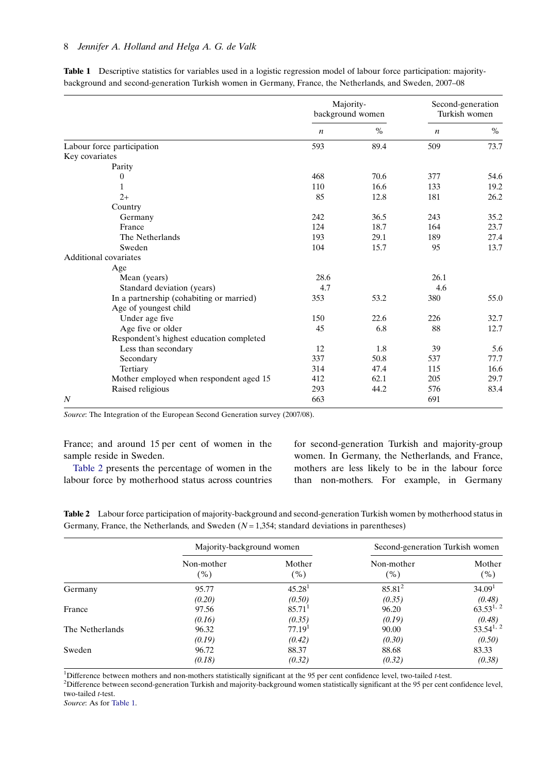## <span id="page-8-0"></span>8 Jennifer A. Holland and Helga A. G. de Valk

|                                          | Majority-<br>background women |               | Second-generation<br>Turkish women |      |
|------------------------------------------|-------------------------------|---------------|------------------------------------|------|
|                                          | $\boldsymbol{n}$              | $\frac{0}{0}$ | $\boldsymbol{n}$                   | $\%$ |
| Labour force participation               | 593                           | 89.4          | 509                                | 73.7 |
| Key covariates                           |                               |               |                                    |      |
| Parity                                   |                               |               |                                    |      |
| 0                                        | 468                           | 70.6          | 377                                | 54.6 |
| 1                                        | 110                           | 16.6          | 133                                | 19.2 |
| $2+$                                     | 85                            | 12.8          | 181                                | 26.2 |
| Country                                  |                               |               |                                    |      |
| Germany                                  | 242                           | 36.5          | 243                                | 35.2 |
| France                                   | 124                           | 18.7          | 164                                | 23.7 |
| The Netherlands                          | 193                           | 29.1          | 189                                | 27.4 |
| Sweden                                   | 104                           | 15.7          | 95                                 | 13.7 |
| <b>Additional covariates</b>             |                               |               |                                    |      |
| Age                                      |                               |               |                                    |      |
| Mean (years)                             | 28.6                          |               | 26.1                               |      |
| Standard deviation (years)               | 4.7                           |               | 4.6                                |      |
| In a partnership (cohabiting or married) | 353                           | 53.2          | 380                                | 55.0 |
| Age of youngest child                    |                               |               |                                    |      |
| Under age five                           | 150                           | 22.6          | 226                                | 32.7 |
| Age five or older                        | 45                            | 6.8           | 88                                 | 12.7 |
| Respondent's highest education completed |                               |               |                                    |      |
| Less than secondary                      | 12                            | 1.8           | 39                                 | 5.6  |
| Secondary                                | 337                           | 50.8          | 537                                | 77.7 |
| Tertiary                                 | 314                           | 47.4          | 115                                | 16.6 |
| Mother employed when respondent aged 15  | 412                           | 62.1          | 205                                | 29.7 |
| Raised religious                         | 293                           | 44.2          | 576                                | 83.4 |
| $\boldsymbol{N}$                         | 663                           |               | 691                                |      |

Table 1 Descriptive statistics for variables used in a logistic regression model of labour force participation: majoritybackground and second-generation Turkish women in Germany, France, the Netherlands, and Sweden, 2007–08

Source: The Integration of the European Second Generation survey (2007/08).

France; and around 15 per cent of women in the sample reside in Sweden.

for second-generation Turkish and majority-group women. In Germany, the Netherlands, and France, mothers are less likely to be in the labour force than non-mothers. For example, in Germany

Table 2 presents the percentage of women in the labour force by motherhood status across countries

Table 2 Labour force participation of majority-background and second-generation Turkish women by motherhood status in Germany, France, the Netherlands, and Sweden  $(N = 1,354)$ ; standard deviations in parentheses)

|                 | Majority-background women |                    | Second-generation Turkish women |                    |  |
|-----------------|---------------------------|--------------------|---------------------------------|--------------------|--|
|                 | Non-mother<br>(%)         | Mother<br>$(\%)$   | Non-mother<br>(%)               | Mother<br>$(\%)$   |  |
| Germany         | 95.77                     | 45.28 <sup>1</sup> | $85.81^2$                       | 34.09 <sup>1</sup> |  |
|                 | (0.20)                    | (0.50)             | (0.35)                          | (0.48)             |  |
| France          | 97.56                     | 85.71 <sup>1</sup> | 96.20                           | $63.53^{1,2}$      |  |
|                 | (0.16)                    | (0.35)             | (0.19)                          | (0.48)             |  |
| The Netherlands | 96.32                     | 77.19 <sup>1</sup> | 90.00                           | $53.54^{1,2}$      |  |
|                 | (0.19)                    | (0.42)             | (0.30)                          | (0.50)             |  |
| Sweden          | 96.72                     | 88.37              | 88.68                           | 83.33              |  |
|                 | (0.18)                    | (0.32)             | (0.32)                          | (0.38)             |  |

<sup>1</sup>Difference between mothers and non-mothers statistically significant at the 95 per cent confidence level, two-tailed *t*-test. <sup>2</sup>Difference between second generation Turkish and majority beckground women statistically

Difference between second-generation Turkish and majority-background women statistically significant at the 95 per cent confidence level, two-tailed *t*-test.

Source: As for Table 1.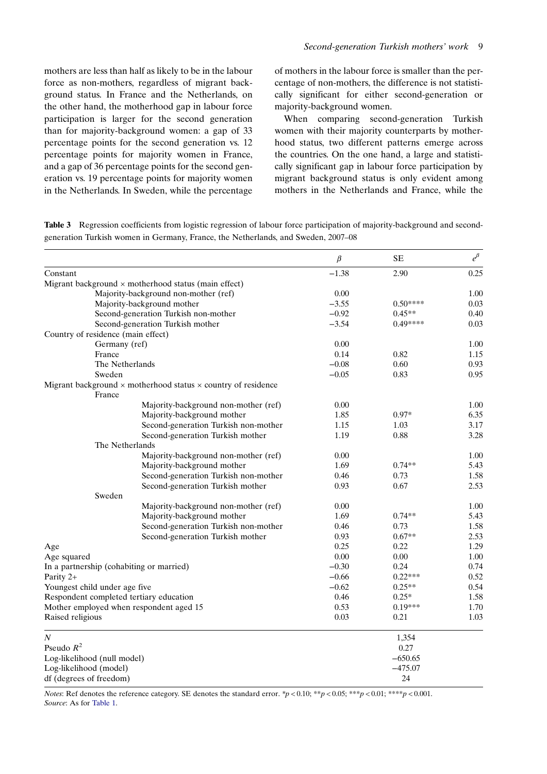<span id="page-9-0"></span>mothers are less than half as likely to be in the labour force as non-mothers, regardless of migrant background status. In France and the Netherlands, on the other hand, the motherhood gap in labour force participation is larger for the second generation than for majority-background women: a gap of 33 percentage points for the second generation vs. 12 percentage points for majority women in France, and a gap of 36 percentage points for the second generation vs. 19 percentage points for majority women in the Netherlands. In Sweden, while the percentage of mothers in the labour force is smaller than the percentage of non-mothers, the difference is not statistically significant for either second-generation or majority-background women.

When comparing second-generation Turkish women with their majority counterparts by motherhood status, two different patterns emerge across the countries. On the one hand, a large and statistically significant gap in labour force participation by migrant background status is only evident among mothers in the Netherlands and France, while the

|  |  |  |  |                                                                                   | Table 3 Regression coefficients from logistic regression of labour force participation of majority-background and second- |  |
|--|--|--|--|-----------------------------------------------------------------------------------|---------------------------------------------------------------------------------------------------------------------------|--|
|  |  |  |  | generation Turkish women in Germany, France, the Netherlands, and Sweden, 2007–08 |                                                                                                                           |  |

|                                          |                                                                             | $\beta$ | <b>SE</b> | $e^{\beta}$ |  |
|------------------------------------------|-----------------------------------------------------------------------------|---------|-----------|-------------|--|
| Constant                                 |                                                                             | $-1.38$ | 2.90      | 0.25        |  |
|                                          | Migrant background $\times$ motherhood status (main effect)                 |         |           |             |  |
|                                          | Majority-background non-mother (ref)                                        | 0.00    |           | 1.00        |  |
|                                          | Majority-background mother                                                  | $-3.55$ | $0.50***$ | 0.03        |  |
|                                          | Second-generation Turkish non-mother                                        | $-0.92$ | $0.45**$  | 0.40        |  |
|                                          | Second-generation Turkish mother                                            | $-3.54$ | $0.49***$ | 0.03        |  |
| Country of residence (main effect)       |                                                                             |         |           |             |  |
| Germany (ref)                            |                                                                             | 0.00    |           | 1.00        |  |
| France                                   |                                                                             | 0.14    | 0.82      | 1.15        |  |
|                                          | The Netherlands                                                             | $-0.08$ | 0.60      | 0.93        |  |
| Sweden                                   |                                                                             | $-0.05$ | 0.83      | 0.95        |  |
|                                          | Migrant background $\times$ motherhood status $\times$ country of residence |         |           |             |  |
| France                                   |                                                                             |         |           |             |  |
|                                          | Majority-background non-mother (ref)                                        | 0.00    |           | 1.00        |  |
|                                          | Majority-background mother                                                  | 1.85    | $0.97*$   | 6.35        |  |
|                                          | Second-generation Turkish non-mother                                        | 1.15    | 1.03      | 3.17        |  |
|                                          | Second-generation Turkish mother                                            | 1.19    | 0.88      | 3.28        |  |
|                                          | The Netherlands                                                             |         |           |             |  |
|                                          | Majority-background non-mother (ref)                                        | 0.00    |           | 1.00        |  |
|                                          | Majority-background mother                                                  | 1.69    | $0.74**$  | 5.43        |  |
|                                          | Second-generation Turkish non-mother                                        | 0.46    | 0.73      | 1.58        |  |
|                                          | Second-generation Turkish mother                                            | 0.93    | 0.67      | 2.53        |  |
| Sweden                                   |                                                                             |         |           |             |  |
|                                          | Majority-background non-mother (ref)                                        | 0.00    |           | 1.00        |  |
|                                          | Majority-background mother                                                  | 1.69    | $0.74**$  | 5.43        |  |
|                                          | Second-generation Turkish non-mother                                        | 0.46    | 0.73      | 1.58        |  |
|                                          | Second-generation Turkish mother                                            | 0.93    | $0.67**$  | 2.53        |  |
| Age                                      |                                                                             | 0.25    | 0.22      | 1.29        |  |
| Age squared                              |                                                                             | 0.00    | 0.00      | 1.00        |  |
| In a partnership (cohabiting or married) |                                                                             | $-0.30$ | 0.24      | 0.74        |  |
| Parity 2+                                |                                                                             | $-0.66$ | $0.22***$ | 0.52        |  |
| Youngest child under age five            |                                                                             | $-0.62$ | $0.25**$  | 0.54        |  |
| Respondent completed tertiary education  |                                                                             | 0.46    | $0.25*$   | 1.58        |  |
| Mother employed when respondent aged 15  |                                                                             | 0.53    | $0.19***$ | 1.70        |  |
| Raised religious                         |                                                                             | 0.03    | 0.21      | 1.03        |  |
| $\boldsymbol{N}$                         |                                                                             |         | 1,354     |             |  |
| Pseudo $R^2$                             |                                                                             |         | 0.27      |             |  |
| Log-likelihood (null model)              |                                                                             |         | $-650.65$ |             |  |
| Log-likelihood (model)                   |                                                                             |         | $-475.07$ |             |  |
| df (degrees of freedom)                  |                                                                             | 24      |           |             |  |

*Notes*: Ref denotes the reference category. SE denotes the standard error. \*p < 0.01; \*\*p < 0.05; \*\*\*p < 0.01; \*\*\*\*p < 0.001. Source: As for [Table 1.](#page-8-0)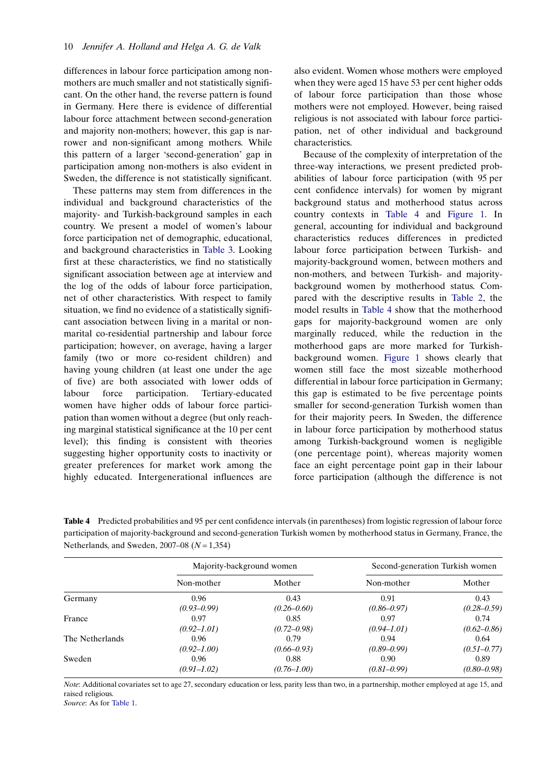differences in labour force participation among nonmothers are much smaller and not statistically significant. On the other hand, the reverse pattern is found in Germany. Here there is evidence of differential labour force attachment between second-generation and majority non-mothers; however, this gap is narrower and non-significant among mothers. While this pattern of a larger 'second-generation' gap in participation among non-mothers is also evident in Sweden, the difference is not statistically significant.

These patterns may stem from differences in the individual and background characteristics of the majority- and Turkish-background samples in each country. We present a model of women's labour force participation net of demographic, educational, and background characteristics in [Table 3.](#page-9-0) Looking first at these characteristics, we find no statistically significant association between age at interview and the log of the odds of labour force participation, net of other characteristics. With respect to family situation, we find no evidence of a statistically significant association between living in a marital or nonmarital co-residential partnership and labour force participation; however, on average, having a larger family (two or more co-resident children) and having young children (at least one under the age of five) are both associated with lower odds of labour force participation. Tertiary-educated women have higher odds of labour force participation than women without a degree (but only reaching marginal statistical significance at the 10 per cent level); this finding is consistent with theories suggesting higher opportunity costs to inactivity or greater preferences for market work among the highly educated. Intergenerational influences are

also evident. Women whose mothers were employed when they were aged 15 have 53 per cent higher odds of labour force participation than those whose mothers were not employed. However, being raised religious is not associated with labour force participation, net of other individual and background characteristics.

Because of the complexity of interpretation of the three-way interactions, we present predicted probabilities of labour force participation (with 95 per cent confidence intervals) for women by migrant background status and motherhood status across country contexts in Table 4 and [Figure 1.](#page-11-0) In general, accounting for individual and background characteristics reduces differences in predicted labour force participation between Turkish- and majority-background women, between mothers and non-mothers, and between Turkish- and majoritybackground women by motherhood status. Compared with the descriptive results in [Table 2,](#page-8-0) the model results in Table 4 show that the motherhood gaps for majority-background women are only marginally reduced, while the reduction in the motherhood gaps are more marked for Turkishbackground women. [Figure 1](#page-11-0) shows clearly that women still face the most sizeable motherhood differential in labour force participation in Germany; this gap is estimated to be five percentage points smaller for second-generation Turkish women than for their majority peers. In Sweden, the difference in labour force participation by motherhood status among Turkish-background women is negligible (one percentage point), whereas majority women face an eight percentage point gap in their labour force participation (although the difference is not

Table 4 Predicted probabilities and 95 per cent confidence intervals (in parentheses) from logistic regression of labour force participation of majority-background and second-generation Turkish women by motherhood status in Germany, France, the Netherlands, and Sweden, 2007–08 ( $N = 1,354$ )

|                 | Majority-background women |                 | Second-generation Turkish women |                 |  |
|-----------------|---------------------------|-----------------|---------------------------------|-----------------|--|
|                 | Non-mother                | Mother          | Non-mother                      | Mother          |  |
| Germany         | 0.96                      | 0.43            | 0.91                            | 0.43            |  |
|                 | $(0.93 - 0.99)$           | $(0.26 - 0.60)$ | $(0.86 - 0.97)$                 | $(0.28 - 0.59)$ |  |
| France          | 0.97                      | 0.85            | 0.97                            | 0.74            |  |
|                 | $(0.92 - 1.01)$           | $(0.72 - 0.98)$ | $(0.94 - 1.01)$                 | $(0.62 - 0.86)$ |  |
| The Netherlands | 0.96                      | 0.79            | 0.94                            | 0.64            |  |
|                 | $(0.92 - 1.00)$           | $(0.66 - 0.93)$ | $(0.89 - 0.99)$                 | $(0.51 - 0.77)$ |  |
| Sweden          | 0.96                      | 0.88            | 0.90 <sub>1</sub>               | 0.89            |  |
|                 | $(0.91 - 1.02)$           | $(0.76 - 1.00)$ | $(0.81 - 0.99)$                 | $(0.80 - 0.98)$ |  |

Note: Additional covariates set to age 27, secondary education or less, parity less than two, in a partnership, mother employed at age 15, and raised religious.

Source: As for [Table 1](#page-8-0).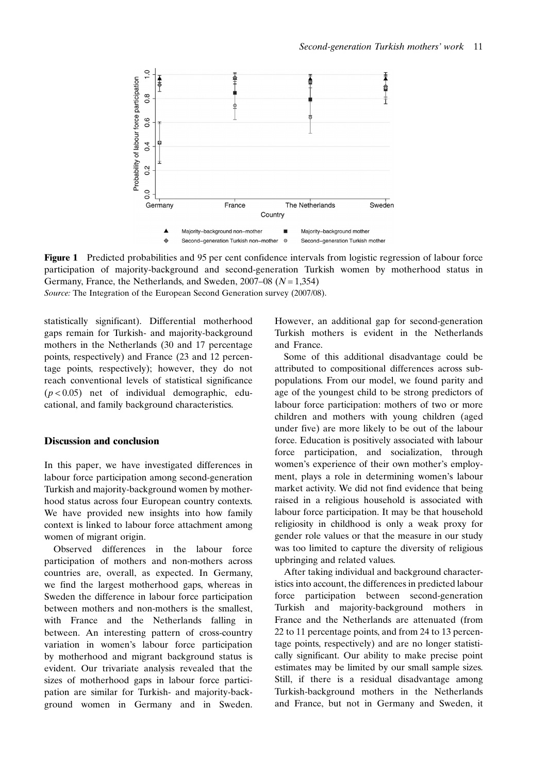<span id="page-11-0"></span>

Figure 1 Predicted probabilities and 95 per cent confidence intervals from logistic regression of labour force participation of majority-background and second-generation Turkish women by motherhood status in Germany, France, the Netherlands, and Sweden,  $2007-08$  ( $N = 1,354$ ) Source: The Integration of the European Second Generation survey (2007/08).

statistically significant). Differential motherhood gaps remain for Turkish- and majority-background mothers in the Netherlands (30 and 17 percentage points, respectively) and France (23 and 12 percentage points, respectively); however, they do not reach conventional levels of statistical significance  $(p < 0.05)$  net of individual demographic, educational, and family background characteristics.

## Discussion and conclusion

In this paper, we have investigated differences in labour force participation among second-generation Turkish and majority-background women by motherhood status across four European country contexts. We have provided new insights into how family context is linked to labour force attachment among women of migrant origin.

Observed differences in the labour force participation of mothers and non-mothers across countries are, overall, as expected. In Germany, we find the largest motherhood gaps, whereas in Sweden the difference in labour force participation between mothers and non-mothers is the smallest, with France and the Netherlands falling in between. An interesting pattern of cross-country variation in women's labour force participation by motherhood and migrant background status is evident. Our trivariate analysis revealed that the sizes of motherhood gaps in labour force participation are similar for Turkish- and majority-background women in Germany and in Sweden. However, an additional gap for second-generation Turkish mothers is evident in the Netherlands and France.

Some of this additional disadvantage could be attributed to compositional differences across subpopulations. From our model, we found parity and age of the youngest child to be strong predictors of labour force participation: mothers of two or more children and mothers with young children (aged under five) are more likely to be out of the labour force. Education is positively associated with labour force participation, and socialization, through women's experience of their own mother's employment, plays a role in determining women's labour market activity. We did not find evidence that being raised in a religious household is associated with labour force participation. It may be that household religiosity in childhood is only a weak proxy for gender role values or that the measure in our study was too limited to capture the diversity of religious upbringing and related values.

After taking individual and background characteristics into account, the differences in predicted labour force participation between second-generation Turkish and majority-background mothers in France and the Netherlands are attenuated (from 22 to 11 percentage points, and from 24 to 13 percentage points, respectively) and are no longer statistically significant. Our ability to make precise point estimates may be limited by our small sample sizes. Still, if there is a residual disadvantage among Turkish-background mothers in the Netherlands and France, but not in Germany and Sweden, it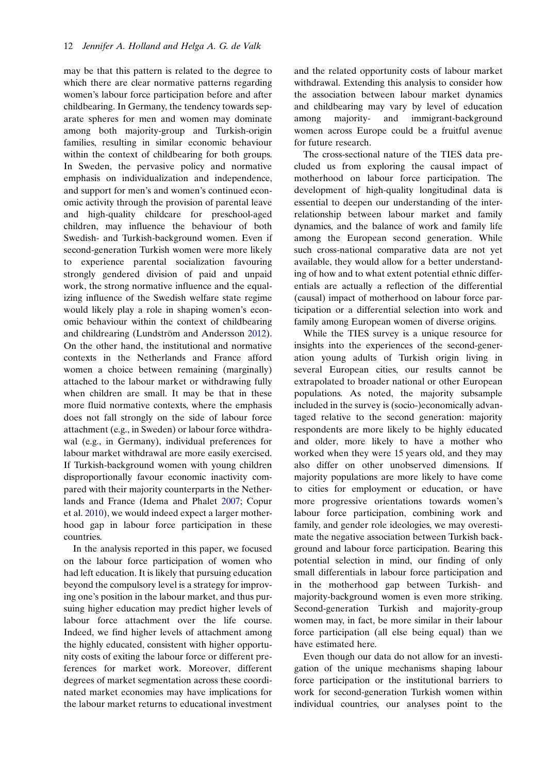may be that this pattern is related to the degree to which there are clear normative patterns regarding women's labour force participation before and after childbearing. In Germany, the tendency towards separate spheres for men and women may dominate among both majority-group and Turkish-origin families, resulting in similar economic behaviour within the context of childbearing for both groups. In Sweden, the pervasive policy and normative emphasis on individualization and independence, and support for men's and women's continued economic activity through the provision of parental leave and high-quality childcare for preschool-aged children, may influence the behaviour of both Swedish- and Turkish-background women. Even if second-generation Turkish women were more likely to experience parental socialization favouring strongly gendered division of paid and unpaid work, the strong normative influence and the equalizing influence of the Swedish welfare state regime would likely play a role in shaping women's economic behaviour within the context of childbearing and childrearing (Lundström and Andersson [2012\)](#page-15-0). On the other hand, the institutional and normative contexts in the Netherlands and France afford women a choice between remaining (marginally) attached to the labour market or withdrawing fully when children are small. It may be that in these more fluid normative contexts, where the emphasis does not fall strongly on the side of labour force attachment (e.g., in Sweden) or labour force withdrawal (e.g., in Germany), individual preferences for labour market withdrawal are more easily exercised. If Turkish-background women with young children disproportionally favour economic inactivity compared with their majority counterparts in the Netherlands and France (Idema and Phalet [2007](#page-15-0); Copur et al. [2010\)](#page-14-0), we would indeed expect a larger motherhood gap in labour force participation in these countries.

In the analysis reported in this paper, we focused on the labour force participation of women who had left education. It is likely that pursuing education beyond the compulsory level is a strategy for improving one's position in the labour market, and thus pursuing higher education may predict higher levels of labour force attachment over the life course. Indeed, we find higher levels of attachment among the highly educated, consistent with higher opportunity costs of exiting the labour force or different preferences for market work. Moreover, different degrees of market segmentation across these coordinated market economies may have implications for the labour market returns to educational investment and the related opportunity costs of labour market withdrawal. Extending this analysis to consider how the association between labour market dynamics and childbearing may vary by level of education among majority- and immigrant-background women across Europe could be a fruitful avenue for future research.

The cross-sectional nature of the TIES data precluded us from exploring the causal impact of motherhood on labour force participation. The development of high-quality longitudinal data is essential to deepen our understanding of the interrelationship between labour market and family dynamics, and the balance of work and family life among the European second generation. While such cross-national comparative data are not yet available, they would allow for a better understanding of how and to what extent potential ethnic differentials are actually a reflection of the differential (causal) impact of motherhood on labour force participation or a differential selection into work and family among European women of diverse origins.

While the TIES survey is a unique resource for insights into the experiences of the second-generation young adults of Turkish origin living in several European cities, our results cannot be extrapolated to broader national or other European populations. As noted, the majority subsample included in the survey is (socio-)economically advantaged relative to the second generation: majority respondents are more likely to be highly educated and older, more likely to have a mother who worked when they were 15 years old, and they may also differ on other unobserved dimensions. If majority populations are more likely to have come to cities for employment or education, or have more progressive orientations towards women's labour force participation, combining work and family, and gender role ideologies, we may overestimate the negative association between Turkish background and labour force participation. Bearing this potential selection in mind, our finding of only small differentials in labour force participation and in the motherhood gap between Turkish- and majority-background women is even more striking. Second-generation Turkish and majority-group women may, in fact, be more similar in their labour force participation (all else being equal) than we have estimated here.

Even though our data do not allow for an investigation of the unique mechanisms shaping labour force participation or the institutional barriers to work for second-generation Turkish women within individual countries, our analyses point to the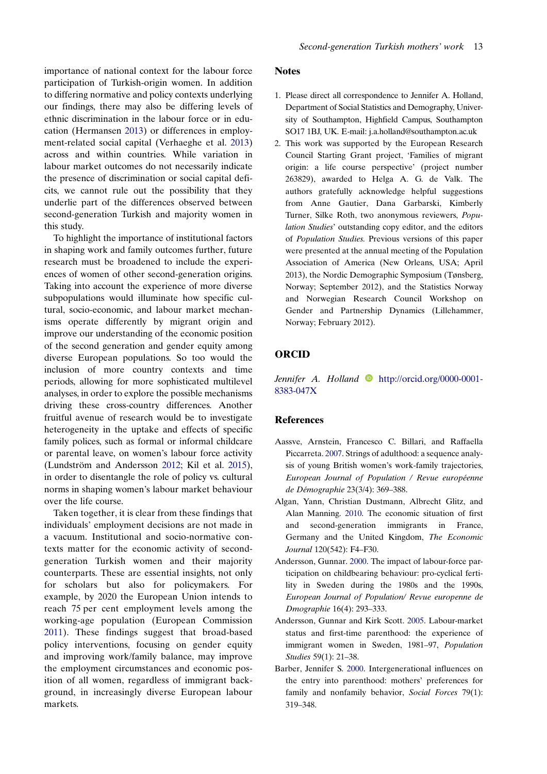<span id="page-13-0"></span>importance of national context for the labour force participation of Turkish-origin women. In addition to differing normative and policy contexts underlying our findings, there may also be differing levels of ethnic discrimination in the labour force or in education (Hermansen [2013](#page-15-0)) or differences in employment-related social capital (Verhaeghe et al. [2013](#page-16-0)) across and within countries. While variation in labour market outcomes do not necessarily indicate the presence of discrimination or social capital deficits, we cannot rule out the possibility that they underlie part of the differences observed between second-generation Turkish and majority women in this study.

To highlight the importance of institutional factors in shaping work and family outcomes further, future research must be broadened to include the experiences of women of other second-generation origins. Taking into account the experience of more diverse subpopulations would illuminate how specific cultural, socio-economic, and labour market mechanisms operate differently by migrant origin and improve our understanding of the economic position of the second generation and gender equity among diverse European populations. So too would the inclusion of more country contexts and time periods, allowing for more sophisticated multilevel analyses, in order to explore the possible mechanisms driving these cross-country differences. Another fruitful avenue of research would be to investigate heterogeneity in the uptake and effects of specific family polices, such as formal or informal childcare or parental leave, on women's labour force activity (Lundström and Andersson [2012;](#page-15-0) Kil et al. [2015\)](#page-15-0), in order to disentangle the role of policy vs. cultural norms in shaping women's labour market behaviour over the life course.

Taken together, it is clear from these findings that individuals' employment decisions are not made in a vacuum. Institutional and socio-normative contexts matter for the economic activity of secondgeneration Turkish women and their majority counterparts. These are essential insights, not only for scholars but also for policymakers. For example, by 2020 the European Union intends to reach 75 per cent employment levels among the working-age population (European Commission [2011\)](#page-14-0). These findings suggest that broad-based policy interventions, focusing on gender equity and improving work/family balance, may improve the employment circumstances and economic position of all women, regardless of immigrant background, in increasingly diverse European labour markets.

# **Notes**

- 1. Please direct all correspondence to Jennifer A. Holland, Department of Social Statistics and Demography, University of Southampton, Highfield Campus, Southampton SO17 1BJ, UK. E-mail: [j.a.holland@southampton.ac.uk](mailto:j.a.holland@southampton.ac.uk)
- 2. This work was supported by the European Research Council Starting Grant project, 'Families of migrant origin: a life course perspective' (project number 263829), awarded to Helga A. G. de Valk. The authors gratefully acknowledge helpful suggestions from Anne Gautier, Dana Garbarski, Kimberly Turner, Silke Roth, two anonymous reviewers, Population Studies' outstanding copy editor, and the editors of Population Studies. Previous versions of this paper were presented at the annual meeting of the Population Association of America (New Orleans, USA; April 2013), the Nordic Demographic Symposium (Tønsberg, Norway; September 2012), and the Statistics Norway and Norwegian Research Council Workshop on Gender and Partnership Dynamics (Lillehammer, Norway; February 2012).

# ORCID

Jennifer A. Holland [http://orcid.org/0000-0001-](http://orcid.org/0000-0001-8383-047X) [8383-047X](http://orcid.org/0000-0001-8383-047X)

# References

- Aassve, Arnstein, Francesco C. Billari, and Raffaella Piccarreta. [2007](#page-1-0). Strings of adulthood: a sequence analysis of young British women's work-family trajectories, European Journal of Population / Revue européenne de Démographie 23(3/4): 369–388.
- Algan, Yann, Christian Dustmann, Albrecht Glitz, and Alan Manning. [2010.](#page-1-0) The economic situation of first and second-generation immigrants in France, Germany and the United Kingdom, The Economic Journal 120(542): F4–F30.
- Andersson, Gunnar. [2000.](#page-3-0) The impact of labour-force participation on childbearing behaviour: pro-cyclical fertility in Sweden during the 1980s and the 1990s, European Journal of Population/ Revue europenne de Dmographie 16(4): 293–333.
- Andersson, Gunnar and Kirk Scott. [2005](#page-5-0). Labour-market status and first-time parenthood: the experience of immigrant women in Sweden, 1981–97, Population Studies 59(1): 21–38.
- Barber, Jennifer S. [2000.](#page-3-0) Intergenerational influences on the entry into parenthood: mothers' preferences for family and nonfamily behavior, Social Forces 79(1): 319–348.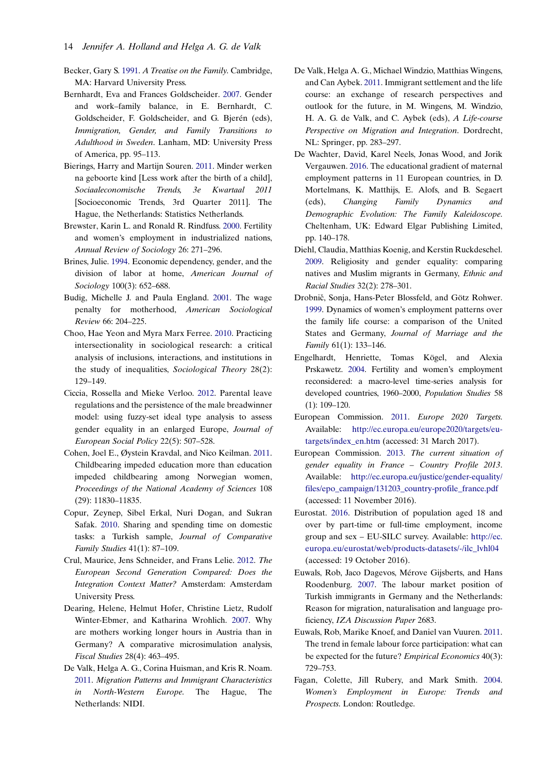- <span id="page-14-0"></span>Becker, Gary S. [1991.](#page-3-0) A Treatise on the Family. Cambridge, MA: Harvard University Press.
- Bernhardt, Eva and Frances Goldscheider. [2007.](#page-4-0) Gender and work–family balance, in E. Bernhardt, C. Goldscheider, F. Goldscheider, and G. Bjerén (eds), Immigration, Gender, and Family Transitions to Adulthood in Sweden. Lanham, MD: University Press of America, pp. 95–113.
- Bierings, Harry and Martijn Souren. [2011](#page-4-0). Minder werken na geboorte kind [Less work after the birth of a child], Sociaaleconomische Trends, 3e Kwartaal 2011 [Socioeconomic Trends, 3rd Quarter 2011]. The Hague, the Netherlands: Statistics Netherlands.
- Brewster, Karin L. and Ronald R. Rindfuss. [2000.](#page-3-0) Fertility and women's employment in industrialized nations, Annual Review of Sociology 26: 271–296.
- Brines, Julie. [1994](#page-2-0). Economic dependency, gender, and the division of labor at home, American Journal of Sociology 100(3): 652-688.
- Budig, Michelle J. and Paula England. [2001.](#page-3-0) The wage penalty for motherhood, American Sociological Review 66: 204–225.
- Choo, Hae Yeon and Myra Marx Ferree. [2010](#page-1-0). Practicing intersectionality in sociological research: a critical analysis of inclusions, interactions, and institutions in the study of inequalities, Sociological Theory 28(2): 129–149.
- Ciccia, Rossella and Mieke Verloo. [2012](#page-4-0). Parental leave regulations and the persistence of the male breadwinner model: using fuzzy-set ideal type analysis to assess gender equality in an enlarged Europe, Journal of European Social Policy 22(5): 507–528.
- Cohen, Joel E., Øystein Kravdal, and Nico Keilman. [2011.](#page-6-0) Childbearing impeded education more than education impeded childbearing among Norwegian women, Proceedings of the National Academy of Sciences 108 (29): 11830–11835.
- Copur, Zeynep, Sibel Erkal, Nuri Dogan, and Sukran Safak. [2010.](#page-4-0) Sharing and spending time on domestic tasks: a Turkish sample, Journal of Comparative Family Studies 41(1): 87–109.
- Crul, Maurice, Jens Schneider, and Frans Lelie. [2012](#page-2-0). The European Second Generation Compared: Does the Integration Context Matter? Amsterdam: Amsterdam University Press.
- Dearing, Helene, Helmut Hofer, Christine Lietz, Rudolf Winter-Ebmer, and Katharina Wrohlich. [2007](#page-5-0). Why are mothers working longer hours in Austria than in Germany? A comparative microsimulation analysis, Fiscal Studies 28(4): 463–495.
- De Valk, Helga A. G., Corina Huisman, and Kris R. Noam. [2011](#page-5-0). Migration Patterns and Immigrant Characteristics in North-Western Europe. The Hague, The Netherlands: NIDI.
- De Valk, Helga A. G., Michael Windzio, Matthias Wingens, and Can Aybek. [2011.](#page-1-0) Immigrant settlement and the life course: an exchange of research perspectives and outlook for the future, in M. Wingens, M. Windzio, H. A. G. de Valk, and C. Aybek (eds), A Life-course Perspective on Migration and Integration. Dordrecht, NL: Springer, pp. 283–297.
- De Wachter, David, Karel Neels, Jonas Wood, and Jorik Vergauwen. [2016.](#page-2-0) The educational gradient of maternal employment patterns in 11 European countries, in D. Mortelmans, K. Matthijs, E. Alofs, and B. Segaert (eds), Changing Family Dynamics and Demographic Evolution: The Family Kaleidoscope. Cheltenham, UK: Edward Elgar Publishing Limited, pp. 140–178.
- Diehl, Claudia, Matthias Koenig, and Kerstin Ruckdeschel. [2009](#page-4-0). Religiosity and gender equality: comparing natives and Muslim migrants in Germany, Ethnic and Racial Studies 32(2): 278–301.
- Drobnič, Sonja, Hans-Peter Blossfeld, and Götz Rohwer. [1999](#page-1-0). Dynamics of women's employment patterns over the family life course: a comparison of the United States and Germany, Journal of Marriage and the Family 61(1): 133–146.
- Engelhardt, Henriette, Tomas Kögel, and Alexia Prskawetz. [2004.](#page-3-0) Fertility and women's employment reconsidered: a macro-level time-series analysis for developed countries, 1960–2000, Population Studies 58 (1): 109–120.
- European Commission. [2011.](#page-13-0) Europe 2020 Targets. Available: [http://ec.europa.eu/europe2020/targets/eu](http://ec.europa.eu/europe2020/targets/eu-targets/index_en.htm)[targets/index\\_en.htm](http://ec.europa.eu/europe2020/targets/eu-targets/index_en.htm) (accessed: 31 March 2017).
- European Commission. [2013.](#page-5-0) The current situation of gender equality in France – Country Profile 2013. Available: [http://ec.europa.eu/justice/gender-equality/](http://ec.europa.eu/justice/gender-equality/files/epo_campaign/131203_country-profile_france.pdf) [files/epo\\_campaign/131203\\_country-profile\\_france.pdf](http://ec.europa.eu/justice/gender-equality/files/epo_campaign/131203_country-profile_france.pdf) (accessed: 11 November 2016).
- Eurostat. [2016.](#page-4-0) Distribution of population aged 18 and over by part-time or full-time employment, income group and sex – EU-SILC survey. Available: [http://ec.](http://ec.europa.eu/eurostat/web/products-datasets/-/ilc_lvhl04) [europa.eu/eurostat/web/products-datasets/-/ilc\\_lvhl04](http://ec.europa.eu/eurostat/web/products-datasets/-/ilc_lvhl04) (accessed: 19 October 2016).
- Euwals, Rob, Jaco Dagevos, Mérove Gijsberts, and Hans Roodenburg. [2007.](#page-4-0) The labour market position of Turkish immigrants in Germany and the Netherlands: Reason for migration, naturalisation and language proficiency, IZA Discussion Paper 2683.
- Euwals, Rob, Marike Knoef, and Daniel van Vuuren. [2011.](#page-3-0) The trend in female labour force participation: what can be expected for the future? Empirical Economics 40(3): 729–753.
- Fagan, Colette, Jill Rubery, and Mark Smith. [2004.](#page-3-0) Women's Employment in Europe: Trends and Prospects. London: Routledge.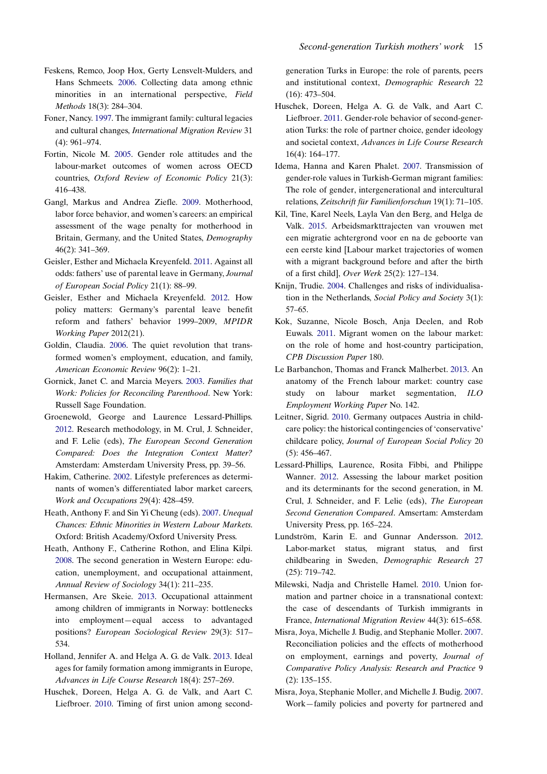- <span id="page-15-0"></span>Feskens, Remco, Joop Hox, Gerty Lensvelt-Mulders, and Hans Schmeets. [2006.](#page-6-0) Collecting data among ethnic minorities in an international perspective, Field Methods 18(3): 284–304.
- Foner, Nancy. [1997](#page-4-0). The immigrant family: cultural legacies and cultural changes, International Migration Review 31 (4): 961–974.
- Fortin, Nicole M. [2005.](#page-3-0) Gender role attitudes and the labour-market outcomes of women across OECD countries, Oxford Review of Economic Policy 21(3): 416–438.
- Gangl, Markus and Andrea Ziefle. [2009](#page-3-0). Motherhood, labor force behavior, and women's careers: an empirical assessment of the wage penalty for motherhood in Britain, Germany, and the United States, Demography 46(2): 341–369.
- Geisler, Esther and Michaela Kreyenfeld. [2011.](#page-5-0) Against all odds: fathers' use of parental leave in Germany, Journal of European Social Policy 21(1): 88–99.
- Geisler, Esther and Michaela Kreyenfeld. [2012.](#page-5-0) How policy matters: Germany's parental leave benefit reform and fathers' behavior 1999–2009, MPIDR Working Paper 2012(21).
- Goldin, Claudia. [2006](#page-1-0). The quiet revolution that transformed women's employment, education, and family, American Economic Review 96(2): 1–21.
- Gornick, Janet C. and Marcia Meyers. [2003](#page-2-0). Families that Work: Policies for Reconciling Parenthood. New York: Russell Sage Foundation.
- Groenewold, George and Laurence Lessard-Phillips. [2012](#page-6-0). Research methodology, in M. Crul, J. Schneider, and F. Lelie (eds), The European Second Generation Compared: Does the Integration Context Matter? Amsterdam: Amsterdam University Press, pp. 39–56.
- Hakim, Catherine. [2002.](#page-3-0) Lifestyle preferences as determinants of women's differentiated labor market careers, Work and Occupations 29(4): 428–459.
- Heath, Anthony F. and Sin Yi Cheung (eds). [2007](#page-2-0). Unequal Chances: Ethnic Minorities in Western Labour Markets. Oxford: British Academy/Oxford University Press.
- Heath, Anthony F., Catherine Rothon, and Elina Kilpi. [2008](#page-1-0). The second generation in Western Europe: education, unemployment, and occupational attainment, Annual Review of Sociology 34(1): 211–235.
- Hermansen, Are Skeie. [2013](#page-2-0). Occupational attainment among children of immigrants in Norway: bottlenecks into employment—equal access to advantaged positions? European Sociological Review 29(3): 517– 534.
- Holland, Jennifer A. and Helga A. G. de Valk. [2013](#page-2-0). Ideal ages for family formation among immigrants in Europe, Advances in Life Course Research 18(4): 257–269.
- Huschek, Doreen, Helga A. G. de Valk, and Aart C. Liefbroer. [2010](#page-4-0). Timing of first union among second-

generation Turks in Europe: the role of parents, peers and institutional context, Demographic Research 22 (16): 473–504.

- Huschek, Doreen, Helga A. G. de Valk, and Aart C. Liefbroer. [2011.](#page-4-0) Gender-role behavior of second-generation Turks: the role of partner choice, gender ideology and societal context, Advances in Life Course Research 16(4): 164–177.
- Idema, Hanna and Karen Phalet. [2007.](#page-4-0) Transmission of gender-role values in Turkish-German migrant families: The role of gender, intergenerational and intercultural relations, Zeitschrift für Familienforschun 19(1): 71–105.
- Kil, Tine, Karel Neels, Layla Van den Berg, and Helga de Valk. [2015.](#page-13-0) Arbeidsmarkttrajecten van vrouwen met een migratie achtergrond voor en na de geboorte van een eerste kind [Labour market trajectories of women with a migrant background before and after the birth of a first child], Over Werk 25(2): 127–134.
- Knijn, Trudie. [2004](#page-2-0). Challenges and risks of individualisation in the Netherlands, Social Policy and Society 3(1): 57–65.
- Kok, Suzanne, Nicole Bosch, Anja Deelen, and Rob Euwals. [2011](#page-4-0). Migrant women on the labour market: on the role of home and host-country participation, CPB Discussion Paper 180.
- Le Barbanchon, Thomas and Franck Malherbet. [2013](#page-5-0). An anatomy of the French labour market: country case study on labour market segmentation, ILO Employment Working Paper No. 142.
- Leitner, Sigrid. [2010](#page-5-0). Germany outpaces Austria in childcare policy: the historical contingencies of 'conservative' childcare policy, Journal of European Social Policy 20 (5): 456–467.
- Lessard-Phillips, Laurence, Rosita Fibbi, and Philippe Wanner. [2012](#page-2-0). Assessing the labour market position and its determinants for the second generation, in M. Crul, J. Schneider, and F. Lelie (eds), The European Second Generation Compared. Amsertam: Amsterdam University Press, pp. 165–224.
- Lundström, Karin E. and Gunnar Andersson. [2012.](#page-5-0) Labor-market status, migrant status, and first childbearing in Sweden, Demographic Research 27 (25): 719–742.
- Milewski, Nadja and Christelle Hamel. [2010](#page-4-0). Union formation and partner choice in a transnational context: the case of descendants of Turkish immigrants in France, International Migration Review 44(3): 615–658.
- Misra, Joya, Michelle J. Budig, and Stephanie Moller. [2007.](#page-3-0) Reconciliation policies and the effects of motherhood on employment, earnings and poverty, Journal of Comparative Policy Analysis: Research and Practice 9 (2): 135–155.
- Misra, Joya, Stephanie Moller, and Michelle J. Budig. [2007.](#page-4-0) Work—family policies and poverty for partnered and